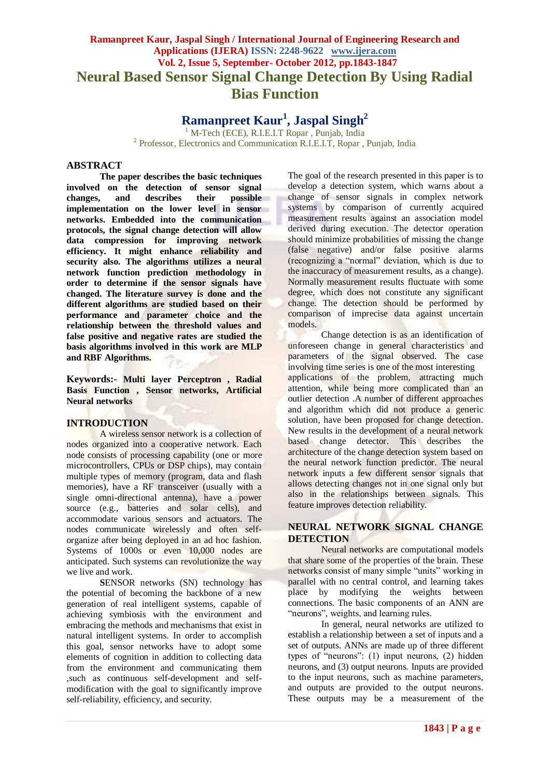# **Ramanpreet Kaur, Jaspal Singh / International Journal of Engineering Research and Applications (IJERA) ISSN: 2248-9622 www.ijera.com Vol. 2, Issue 5, September- October 2012, pp.1843-1847 Neural Based Sensor Signal Change Detection By Using Radial Bias Function**

**Ramanpreet Kaur<sup>1</sup> , Jaspal Singh<sup>2</sup>**

<sup>1</sup> M-Tech (ECE), R.I.E.I.T Ropar , Punjab, India <sup>2</sup> Professor, Electronics and Communication R.I.E.I.T, Ropar, Punjab, India

# **ABSTRACT**

**The paper describes the basic techniques involved on the detection of sensor signal changes, and describes their possible implementation on the lower level in sensor networks. Embedded into the communication protocols, the signal change detection will allow data compression for improving network efficiency. It might enhance reliability and security also. The algorithms utilizes a neural network function prediction methodology in order to determine if the sensor signals have changed. The literature survey is done and the different algorithms are studied based on their performance and parameter choice and the relationship between the threshold values and false positive and negative rates are studied the basis algorithms involved in this work are MLP and RBF Algorithms.**

**Keywords:- Multi layer Perceptron , Radial Basis Function , Sensor networks, Artificial Neural networks**

#### **INTRODUCTION**

A wireless sensor network is a collection of nodes organized into a cooperative network. Each node consists of processing capability (one or more microcontrollers, CPUs or DSP chips), may contain multiple types of memory (program, data and flash memories), have a RF transceiver (usually with a single omni-directional antenna), have a power source (e.g., batteries and solar cells), and accommodate various sensors and actuators. The nodes communicate wirelessly and often selforganize after being deployed in an ad hoc fashion. Systems of 1000s or even 10,000 nodes are anticipated. Such systems can revolutionize the way we live and work.

**SENSOR** networks (SN) technology has the potential of becoming the backbone of a new generation of real intelligent systems, capable of achieving symbiosis with the environment and embracing the methods and mechanisms that exist in natural intelligent systems. In order to accomplish this goal, sensor networks have to adopt some elements of cognition in addition to collecting data from the environment and communicating them ,such as continuous self-development and selfmodification with the goal to significantly improve self-reliability, efficiency, and security.

The goal of the research presented in this paper is to develop a detection system, which warns about a change of sensor signals in complex network systems by comparison of currently acquired measurement results against an association model derived during execution. The detector operation should minimize probabilities of missing the change (false negative) and/or false positive alarms (recognizing a "normal" deviation, which is due to the inaccuracy of measurement results, as a change). Normally measurement results fluctuate with some degree, which does not constitute any significant change. The detection should be performed by comparison of imprecise data against uncertain models.

Change detection is as an identification of unforeseen change in general characteristics and parameters of the signal observed. The case involving time series is one of the most interesting applications of the problem, attracting much attention, while being more complicated than an outlier detection .A number of different approaches and algorithm which did not produce a generic solution, have been proposed for change detection. New results in the development of a neural network based change detector. This describes the architecture of the change detection system based on the neural network function predictor. The neural network inputs a few different sensor signals that allows detecting changes not in one signal only but also in the relationships between signals. This feature improves detection reliability.

# **NEURAL NETWORK SIGNAL CHANGE DETECTION**

Neural networks are computational models that share some of the properties of the brain. These networks consist of many simple "units" working in parallel with no central control, and learning takes place by modifying the weights between connections. The basic components of an ANN are "neurons", weights, and learning rules.

In general, neural networks are utilized to establish a relationship between a set of inputs and a set of outputs. ANNs are made up of three different types of "neurons":  $(1)$  input neurons,  $(2)$  hidden neurons, and (3) output neurons. Inputs are provided to the input neurons, such as machine parameters, and outputs are provided to the output neurons. These outputs may be a measurement of the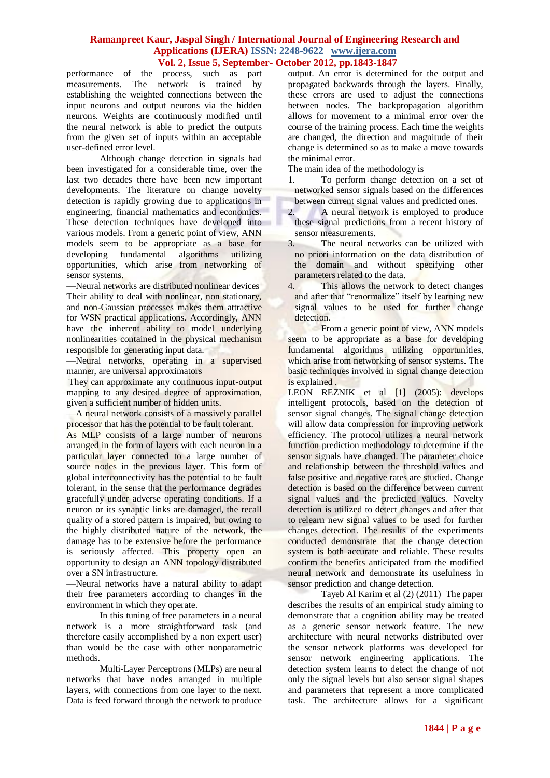performance of the process, such as part measurements. The network is trained by establishing the weighted connections between the input neurons and output neurons via the hidden neurons. Weights are continuously modified until the neural network is able to predict the outputs from the given set of inputs within an acceptable user-defined error level.

Although change detection in signals had been investigated for a considerable time, over the last two decades there have been new important developments. The literature on change novelty detection is rapidly growing due to applications in engineering, financial mathematics and economics. These detection techniques have developed into various models. From a generic point of view, ANN models seem to be appropriate as a base for developing fundamental algorithms utilizing opportunities, which arise from networking of sensor systems.

—Neural networks are distributed nonlinear devices Their ability to deal with nonlinear, non stationary, and non-Gaussian processes makes them attractive for WSN practical applications. Accordingly, ANN have the inherent ability to model underlying nonlinearities contained in the physical mechanism responsible for generating input data.

—Neural networks, operating in a supervised manner, are universal approximators

They can approximate any continuous input-output mapping to any desired degree of approximation, given a sufficient number of hidden units.

—A neural network consists of a massively parallel processor that has the potential to be fault tolerant.

As MLP consists of a large number of neurons arranged in the form of layers with each neuron in a particular layer connected to a large number of source nodes in the previous layer. This form of global interconnectivity has the potential to be fault tolerant, in the sense that the performance degrades gracefully under adverse operating conditions. If a neuron or its synaptic links are damaged, the recall quality of a stored pattern is impaired, but owing to the highly distributed nature of the network, the damage has to be extensive before the performance is seriously affected. This property open an opportunity to design an ANN topology distributed over a SN infrastructure.

—Neural networks have a natural ability to adapt their free parameters according to changes in the environment in which they operate.

In this tuning of free parameters in a neural network is a more straightforward task (and therefore easily accomplished by a non expert user) than would be the case with other nonparametric methods.

Multi-Layer Perceptrons (MLPs) are neural networks that have nodes arranged in multiple layers, with connections from one layer to the next. Data is feed forward through the network to produce output. An error is determined for the output and propagated backwards through the layers. Finally, these errors are used to adjust the connections between nodes. The backpropagation algorithm allows for movement to a minimal error over the course of the training process. Each time the weights are changed, the direction and magnitude of their change is determined so as to make a move towards the minimal error.

The main idea of the methodology is

1. To perform change detection on a set of networked sensor signals based on the differences between current signal values and predicted ones.

2. A neural network is employed to produce these signal predictions from a recent history of sensor measurements.

3. The neural networks can be utilized with no priori information on the data distribution of the domain and without specifying other parameters related to the data.<br>4. This allows the netwo

This allows the network to detect changes and after that "renormalize" itself by learning new signal values to be used for further change detection.

From a generic point of view, ANN models seem to be appropriate as a base for developing fundamental algorithms utilizing opportunities, which arise from networking of sensor systems. The basic techniques involved in signal change detection is explained .

LEON REZNIK et al [1] (2005): develops intelligent protocols, based on the detection of sensor signal changes. The signal change detection will allow data compression for improving network efficiency. The protocol utilizes a neural network function prediction methodology to determine if the sensor signals have changed. The parameter choice and relationship between the threshold values and false positive and negative rates are studied. Change detection is based on the difference between current signal values and the predicted values. Novelty detection is utilized to detect changes and after that to relearn new signal values to be used for further changes detection. The results of the experiments conducted demonstrate that the change detection system is both accurate and reliable. These results confirm the benefits anticipated from the modified neural network and demonstrate its usefulness in sensor prediction and change detection.

Tayeb Al Karim et al (2) (2011) The paper describes the results of an empirical study aiming to demonstrate that a cognition ability may be treated as a generic sensor network feature. The new architecture with neural networks distributed over the sensor network platforms was developed for sensor network engineering applications. The detection system learns to detect the change of not only the signal levels but also sensor signal shapes and parameters that represent a more complicated task. The architecture allows for a significant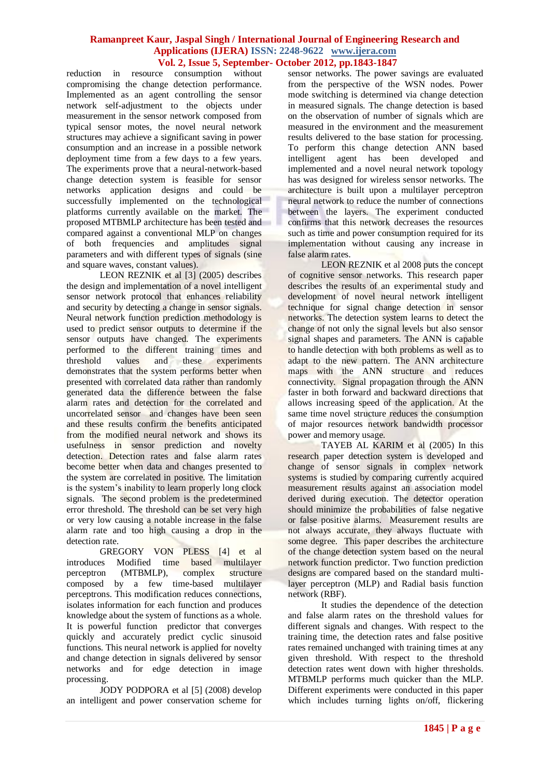reduction in resource consumption without compromising the change detection performance. Implemented as an agent controlling the sensor network self-adjustment to the objects under measurement in the sensor network composed from typical sensor motes, the novel neural network structures may achieve a significant saving in power consumption and an increase in a possible network deployment time from a few days to a few years. The experiments prove that a neural-network-based change detection system is feasible for sensor networks application designs and could be successfully implemented on the technological platforms currently available on the market. The proposed MTBMLP architecture has been tested and compared against a conventional MLP on changes of both frequencies and amplitudes signal parameters and with different types of signals (sine and square waves, constant values).

LEON REZNIK et al [3] (2005) describes the design and implementation of a novel intelligent sensor network protocol that enhances reliability and security by detecting a change in sensor signals. Neural network function prediction methodology is used to predict sensor outputs to determine if the sensor outputs have changed. The experiments performed to the different training times and threshold values and these experiments demonstrates that the system performs better when presented with correlated data rather than randomly generated data the difference between the false alarm rates and detection for the correlated and uncorrelated sensor and changes have been seen and these results confirm the benefits anticipated from the modified neural network and shows its usefulness in sensor prediction and novelty detection. Detection rates and false alarm rates become better when data and changes presented to the system are correlated in positive. The limitation is the system's inability to learn properly long clock signals. The second problem is the predetermined error threshold. The threshold can be set very high or very low causing a notable increase in the false alarm rate and too high causing a drop in the detection rate.

GREGORY VON PLESS [4] et al introduces Modified time based multilayer perceptron (MTBMLP), complex structure composed by a few time-based multilayer perceptrons. This modification reduces connections, isolates information for each function and produces knowledge about the system of functions as a whole. It is powerful function predictor that converges quickly and accurately predict cyclic sinusoid functions. This neural network is applied for novelty and change detection in signals delivered by sensor networks and for edge detection in image processing.

JODY PODPORA et al [5] (2008) develop an intelligent and power conservation scheme for sensor networks. The power savings are evaluated from the perspective of the WSN nodes. Power mode switching is determined via change detection in measured signals. The change detection is based on the observation of number of signals which are measured in the environment and the measurement results delivered to the base station for processing. To perform this change detection ANN based intelligent agent has been developed and implemented and a novel neural network topology has was designed for wireless sensor networks. The architecture is built upon a multilayer perceptron neural network to reduce the number of connections between the layers. The experiment conducted confirms that this network decreases the resources such as time and power consumption required for its implementation without causing any increase in false alarm rates.

LEON REZNIK et al 2008 puts the concept of cognitive sensor networks. This research paper describes the results of an experimental study and development of novel neural network intelligent technique for signal change detection in sensor networks. The detection system learns to detect the change of not only the signal levels but also sensor signal shapes and parameters. The ANN is capable to handle detection with both problems as well as to adapt to the new pattern. The ANN architecture maps with the ANN structure and reduces connectivity. Signal propagation through the ANN faster in both forward and backward directions that allows increasing speed of the application. At the same time novel structure reduces the consumption of major resources network bandwidth processor power and memory usage.

TAYEB AL KARIM et al (2005) In this research paper detection system is developed and change of sensor signals in complex network systems is studied by comparing currently acquired measurement results against an association model derived during execution. The detector operation should minimize the probabilities of false negative or false positive alarms. Measurement results are not always accurate, they always fluctuate with some degree. This paper describes the architecture of the change detection system based on the neural network function predictor. Two function prediction designs are compared based on the standard multilayer perceptron (MLP) and Radial basis function network (RBF).

It studies the dependence of the detection and false alarm rates on the threshold values for different signals and changes. With respect to the training time, the detection rates and false positive rates remained unchanged with training times at any given threshold. With respect to the threshold detection rates went down with higher thresholds. MTBMLP performs much quicker than the MLP. Different experiments were conducted in this paper which includes turning lights on/off, flickering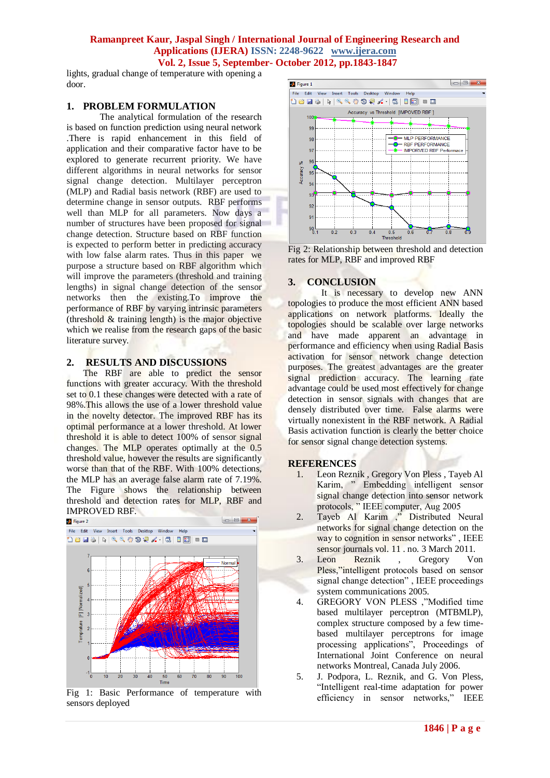lights, gradual change of temperature with opening a door.

#### **1. PROBLEM FORMULATION**

The analytical formulation of the research is based on function prediction using neural network .There is rapid enhancement in this field of application and their comparative factor have to be explored to generate recurrent priority. We have different algorithms in neural networks for sensor signal change detection. Multilayer perceptron (MLP) and Radial basis network (RBF) are used to determine change in sensor outputs. RBF performs well than MLP for all parameters. Now days a number of structures have been proposed for signal change detection. Structure based on RBF function is expected to perform better in predicting accuracy with low false alarm rates. Thus in this paper we purpose a structure based on RBF algorithm which will improve the parameters (threshold and training lengths) in signal change detection of the sensor networks then the existing.To improve the performance of RBF by varying intrinsic parameters (threshold & training length) is the major objective which we realise from the research gaps of the basic literature survey.

## **2. RESULTS AND DISCUSSIONS**

The RBF are able to predict the sensor functions with greater accuracy. With the threshold set to 0.1 these changes were detected with a rate of 98%.This allows the use of a lower threshold value in the novelty detector. The improved RBF has its optimal performance at a lower threshold. At lower threshold it is able to detect 100% of sensor signal changes. The MLP operates optimally at the 0.5 threshold value, however the results are significantly worse than that of the RBF. With 100% detections, the MLP has an average false alarm rate of 7.19%. The Figure shows the relationship between threshold and detection rates for MLP, RBF and **IMPROVED RBF.** 



Fig 1: Basic Performance of temperature with sensors deployed



Fig 2: Relationship between threshold and detection rates for MLP, RBF and improved RBF

# **3. CONCLUSION**

It is necessary to develop new ANN topologies to produce the most efficient ANN based applications on network platforms. Ideally the topologies should be scalable over large networks and have made apparent an advantage in performance and efficiency when using Radial Basis activation for sensor network change detection purposes. The greatest advantages are the greater signal prediction accuracy. The learning rate advantage could be used most effectively for change detection in sensor signals with changes that are densely distributed over time. False alarms were virtually nonexistent in the RBF network. A Radial Basis activation function is clearly the better choice for sensor signal change detection systems.

#### **REFERENCES**

- 1. Leon Reznik , Gregory Von Pless , Tayeb Al Karim, "Embedding intelligent sensor signal change detection into sensor network protocols, ‖ IEEE computer, Aug 2005
- 2. Tayeb Al Karim ," Distributed Neural networks for signal change detection on the way to cognition in sensor networks", IEEE sensor journals vol. 11 . no. 3 March 2011.
- 3. Leon Reznik , Gregory Von Pless,"intelligent protocols based on sensor signal change detection", IEEE proceedings system communications 2005.
- 4. GREGORY VON PLESS ,"Modified time based multilayer perceptron (MTBMLP), complex structure composed by a few timebased multilayer perceptrons for image processing applications", Proceedings of International Joint Conference on neural networks Montreal, Canada July 2006.
- 5. J. Podpora, L. Reznik, and G. Von Pless, "Intelligent real-time adaptation for power efficiency in sensor networks," IEEE